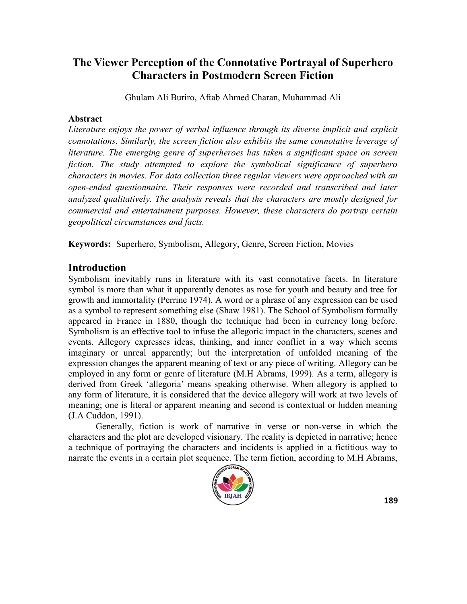# **The Viewer Perception of the Connotative Portrayal of Superhero Characters in Postmodern Screen Fiction**

Ghulam Ali Buriro, Aftab Ahmed Charan, Muhammad Ali

## **Abstract**

*Literature enjoys the power of verbal influence through its diverse implicit and explicit connotations. Similarly, the screen fiction also exhibits the same connotative leverage of literature. The emerging genre of superheroes has taken a significant space on screen fiction. The study attempted to explore the symbolical significance of superhero characters in movies. For data collection three regular viewers were approached with an open-ended questionnaire. Their responses were recorded and transcribed and later analyzed qualitatively. The analysis reveals that the characters are mostly designed for commercial and entertainment purposes. However, these characters do portray certain geopolitical circumstances and facts.*

**Keywords:** Superhero, Symbolism, Allegory, Genre, Screen Fiction, Movies

# **Introduction**

Symbolism inevitably runs in literature with its vast connotative facets. In literature symbol is more than what it apparently denotes as rose for youth and beauty and tree for growth and immortality (Perrine 1974). A word or a phrase of any expression can be used as a symbol to represent something else (Shaw 1981). The School of Symbolism formally appeared in France in 1880, though the technique had been in currency long before. Symbolism is an effective tool to infuse the allegoric impact in the characters, scenes and events. Allegory expresses ideas, thinking, and inner conflict in a way which seems imaginary or unreal apparently; but the interpretation of unfolded meaning of the expression changes the apparent meaning of text or any piece of writing. Allegory can be employed in any form or genre of literature (M.H Abrams, 1999). As a term, allegory is derived from Greek 'allegoria' means speaking otherwise. When allegory is applied to any form of literature, it is considered that the device allegory will work at two levels of meaning; one is literal or apparent meaning and second is contextual or hidden meaning (J.A Cuddon, 1991).

Generally, fiction is work of narrative in verse or non-verse in which the characters and the plot are developed visionary. The reality is depicted in narrative; hence a technique of portraying the characters and incidents is applied in a fictitious way to narrate the events in a certain plot sequence. The term fiction, according to M.H Abrams,

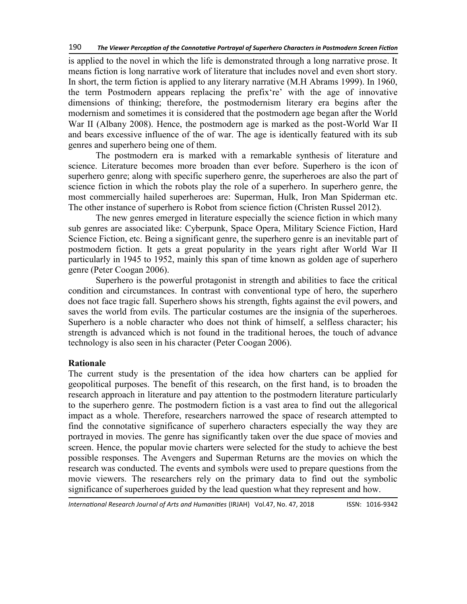is applied to the novel in which the life is demonstrated through a long narrative prose. It means fiction is long narrative work of literature that includes novel and even short story. In short, the term fiction is applied to any literary narrative (M.H Abrams 1999). In 1960, the term Postmodern appears replacing the prefix 're' with the age of innovative dimensions of thinking; therefore, the postmodernism literary era begins after the modernism and sometimes it is considered that the postmodern age began after the World War II (Albany 2008). Hence, the postmodern age is marked as the post-World War II and bears excessive influence of the of war. The age is identically featured with its sub genres and superhero being one of them.

The postmodern era is marked with a remarkable synthesis of literature and science. Literature becomes more broaden than ever before. Superhero is the icon of superhero genre; along with specific superhero genre, the superheroes are also the part of science fiction in which the robots play the role of a superhero. In superhero genre, the most commercially hailed superheroes are: Superman, Hulk, Iron Man Spiderman etc. The other instance of superhero is Robot from science fiction (Christen Russel 2012).

The new genres emerged in literature especially the science fiction in which many sub genres are associated like: Cyberpunk, Space Opera, Military Science Fiction, Hard Science Fiction, etc. Being a significant genre, the superhero genre is an inevitable part of postmodern fiction. It gets a great popularity in the years right after World War II particularly in 1945 to 1952, mainly this span of time known as golden age of superhero genre (Peter Coogan 2006).

Superhero is the powerful protagonist in strength and abilities to face the critical condition and circumstances. In contrast with conventional type of hero, the superhero does not face tragic fall. Superhero shows his strength, fights against the evil powers, and saves the world from evils. The particular costumes are the insignia of the superheroes. Superhero is a noble character who does not think of himself, a selfless character; his strength is advanced which is not found in the traditional heroes, the touch of advance technology is also seen in his character (Peter Coogan 2006).

# **Rationale**

The current study is the presentation of the idea how charters can be applied for geopolitical purposes. The benefit of this research, on the first hand, is to broaden the research approach in literature and pay attention to the postmodern literature particularly to the superhero genre. The postmodern fiction is a vast area to find out the allegorical impact as a whole. Therefore, researchers narrowed the space of research attempted to find the connotative significance of superhero characters especially the way they are portrayed in movies. The genre has significantly taken over the due space of movies and screen. Hence, the popular movie charters were selected for the study to achieve the best possible responses. The Avengers and Superman Returns are the movies on which the research was conducted. The events and symbols were used to prepare questions from the movie viewers. The researchers rely on the primary data to find out the symbolic significance of superheroes guided by the lead question what they represent and how.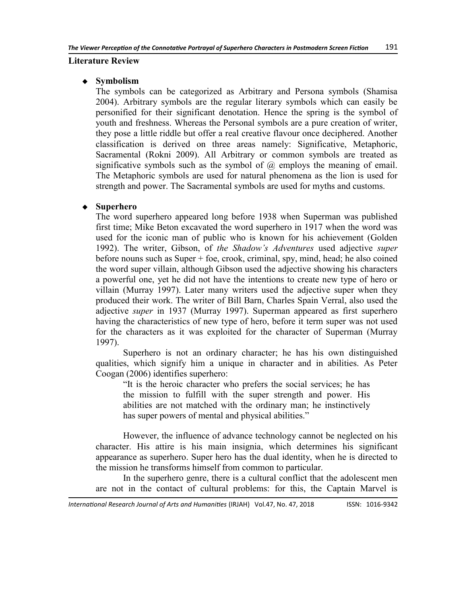#### **Literature Review**

#### **Symbolism**

The symbols can be categorized as Arbitrary and Persona symbols (Shamisa 2004). Arbitrary symbols are the regular literary symbols which can easily be personified for their significant denotation. Hence the spring is the symbol of youth and freshness. Whereas the Personal symbols are a pure creation of writer, they pose a little riddle but offer a real creative flavour once deciphered. Another classification is derived on three areas namely: Significative, Metaphoric, Sacramental (Rokni 2009). All Arbitrary or common symbols are treated as significative symbols such as the symbol of  $\omega$  employs the meaning of email. The Metaphoric symbols are used for natural phenomena as the lion is used for strength and power. The Sacramental symbols are used for myths and customs.

## **Superhero**

The word superhero appeared long before 1938 when Superman was published first time; Mike Beton excavated the word superhero in 1917 when the word was used for the iconic man of public who is known for his achievement (Golden 1992). The writer, Gibson, of *the Shadow's Adventures* used adjective *super*  before nouns such as Super + foe, crook, criminal, spy, mind, head; he also coined the word super villain, although Gibson used the adjective showing his characters a powerful one, yet he did not have the intentions to create new type of hero or villain (Murray 1997). Later many writers used the adjective super when they produced their work. The writer of Bill Barn, Charles Spain Verral, also used the adjective *super* in 1937 (Murray 1997). Superman appeared as first superhero having the characteristics of new type of hero, before it term super was not used for the characters as it was exploited for the character of Superman (Murray 1997).

Superhero is not an ordinary character; he has his own distinguished qualities, which signify him a unique in character and in abilities. As Peter Coogan (2006) identifies superhero:

―It is the heroic character who prefers the social services; he has the mission to fulfill with the super strength and power. His abilities are not matched with the ordinary man; he instinctively has super powers of mental and physical abilities."

However, the influence of advance technology cannot be neglected on his character. His attire is his main insignia, which determines his significant appearance as superhero. Super hero has the dual identity, when he is directed to the mission he transforms himself from common to particular.

In the superhero genre, there is a cultural conflict that the adolescent men are not in the contact of cultural problems: for this, the Captain Marvel is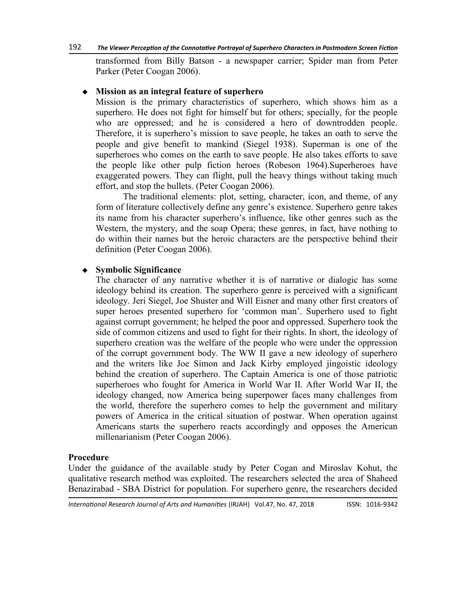transformed from Billy Batson - a newspaper carrier; Spider man from Peter Parker (Peter Coogan 2006).

#### **Mission as an integral feature of superhero**

Mission is the primary characteristics of superhero, which shows him as a superhero. He does not fight for himself but for others; specially, for the people who are oppressed; and he is considered a hero of downtrodden people. Therefore, it is superhero's mission to save people, he takes an oath to serve the people and give benefit to mankind (Siegel 1938). Superman is one of the superheroes who comes on the earth to save people. He also takes efforts to save the people like other pulp fiction heroes (Robeson 1964).Superheroes have exaggerated powers. They can flight, pull the heavy things without taking much effort, and stop the bullets. (Peter Coogan 2006).

The traditional elements: plot, setting, character, icon, and theme, of any form of literature collectively define any genre's existence. Superhero genre takes its name from his character superhero's influence, like other genres such as the Western, the mystery, and the soap Opera; these genres, in fact, have nothing to do within their names but the heroic characters are the perspective behind their definition (Peter Coogan 2006).

## **Symbolic Significance**

The character of any narrative whether it is of narrative or dialogic has some ideology behind its creation. The superhero genre is perceived with a significant ideology. Jeri Siegel, Joe Shuster and Will Eisner and many other first creators of super heroes presented superhero for ‗common man'. Superhero used to fight against corrupt government; he helped the poor and oppressed. Superhero took the side of common citizens and used to fight for their rights. In short, the ideology of superhero creation was the welfare of the people who were under the oppression of the corrupt government body. The WW II gave a new ideology of superhero and the writers like Joe Simon and Jack Kirby employed jingoistic ideology behind the creation of superhero. The Captain America is one of those patriotic superheroes who fought for America in World War II. After World War II, the ideology changed, now America being superpower faces many challenges from the world, therefore the superhero comes to help the government and military powers of America in the critical situation of postwar. When operation against Americans starts the superhero reacts accordingly and opposes the American millenarianism (Peter Coogan 2006).

#### **Procedure**

Under the guidance of the available study by Peter Cogan and Miroslav Kohut, the qualitative research method was exploited. The researchers selected the area of Shaheed Benazirabad - SBA District for population. For superhero genre, the researchers decided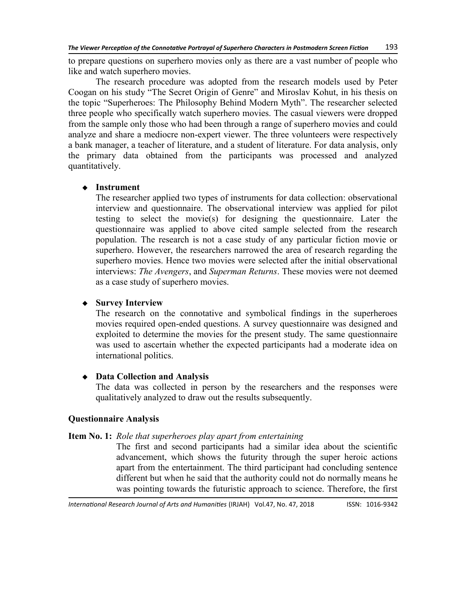to prepare questions on superhero movies only as there are a vast number of people who like and watch superhero movies.

The research procedure was adopted from the research models used by Peter Coogan on his study "The Secret Origin of Genre" and Miroslav Kohut, in his thesis on the topic "Superheroes: The Philosophy Behind Modern Myth". The researcher selected three people who specifically watch superhero movies. The casual viewers were dropped from the sample only those who had been through a range of superhero movies and could analyze and share a mediocre non-expert viewer. The three volunteers were respectively a bank manager, a teacher of literature, and a student of literature. For data analysis, only the primary data obtained from the participants was processed and analyzed quantitatively.

## **Instrument**

The researcher applied two types of instruments for data collection: observational interview and questionnaire. The observational interview was applied for pilot testing to select the movie(s) for designing the questionnaire. Later the questionnaire was applied to above cited sample selected from the research population. The research is not a case study of any particular fiction movie or superhero. However, the researchers narrowed the area of research regarding the superhero movies. Hence two movies were selected after the initial observational interviews: *The Avengers*, and *Superman Returns*. These movies were not deemed as a case study of superhero movies.

# **Survey Interview**

The research on the connotative and symbolical findings in the superheroes movies required open-ended questions. A survey questionnaire was designed and exploited to determine the movies for the present study. The same questionnaire was used to ascertain whether the expected participants had a moderate idea on international politics.

## **Data Collection and Analysis**

The data was collected in person by the researchers and the responses were qualitatively analyzed to draw out the results subsequently.

## **Questionnaire Analysis**

## **Item No. 1:** *Role that superheroes play apart from entertaining*

The first and second participants had a similar idea about the scientific advancement, which shows the futurity through the super heroic actions apart from the entertainment. The third participant had concluding sentence different but when he said that the authority could not do normally means he was pointing towards the futuristic approach to science. Therefore, the first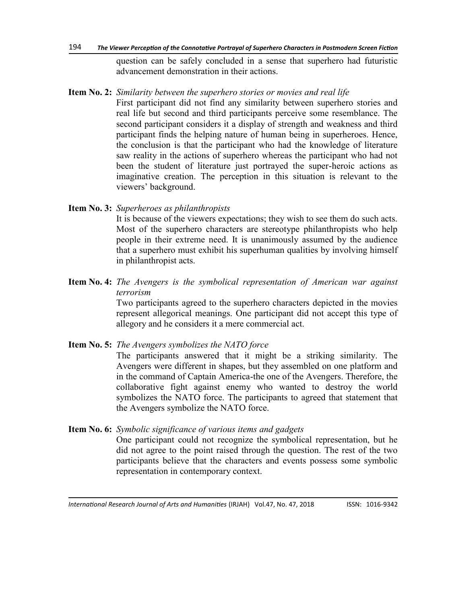#### 194 *The Viewer Perception of the Connotative Portrayal of Superhero Characters in Postmodern Screen Fiction*

question can be safely concluded in a sense that superhero had futuristic advancement demonstration in their actions.

**Item No. 2:** *Similarity between the superhero stories or movies and real life* First participant did not find any similarity between superhero stories and

real life but second and third participants perceive some resemblance. The second participant considers it a display of strength and weakness and third participant finds the helping nature of human being in superheroes. Hence, the conclusion is that the participant who had the knowledge of literature saw reality in the actions of superhero whereas the participant who had not been the student of literature just portrayed the super-heroic actions as imaginative creation. The perception in this situation is relevant to the viewers' background.

## **Item No. 3:** *Superheroes as philanthropists*

It is because of the viewers expectations; they wish to see them do such acts. Most of the superhero characters are stereotype philanthropists who help people in their extreme need. It is unanimously assumed by the audience that a superhero must exhibit his superhuman qualities by involving himself in philanthropist acts.

**Item No. 4:** *The Avengers is the symbolical representation of American war against terrorism*

Two participants agreed to the superhero characters depicted in the movies represent allegorical meanings. One participant did not accept this type of allegory and he considers it a mere commercial act.

**Item No. 5:** *The Avengers symbolizes the NATO force*

The participants answered that it might be a striking similarity. The Avengers were different in shapes, but they assembled on one platform and in the command of Captain America-the one of the Avengers. Therefore, the collaborative fight against enemy who wanted to destroy the world symbolizes the NATO force. The participants to agreed that statement that the Avengers symbolize the NATO force.

**Item No. 6:** *Symbolic significance of various items and gadgets* One participant could not recognize the symbolical representation, but he did not agree to the point raised through the question. The rest of the two participants believe that the characters and events possess some symbolic representation in contemporary context.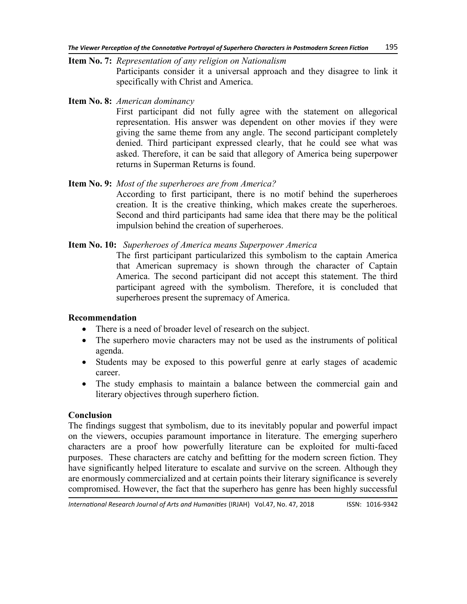**Item No. 7:** *Representation of any religion on Nationalism* Participants consider it a universal approach and they disagree to link it specifically with Christ and America.

**Item No. 8:** *American dominancy*

First participant did not fully agree with the statement on allegorical representation. His answer was dependent on other movies if they were giving the same theme from any angle. The second participant completely denied. Third participant expressed clearly, that he could see what was asked. Therefore, it can be said that allegory of America being superpower returns in Superman Returns is found.

## **Item No. 9:** *Most of the superheroes are from America?*

According to first participant, there is no motif behind the superheroes creation. It is the creative thinking, which makes create the superheroes. Second and third participants had same idea that there may be the political impulsion behind the creation of superheroes.

## **Item No. 10:** *Superheroes of America means Superpower America*

The first participant particularized this symbolism to the captain America that American supremacy is shown through the character of Captain America. The second participant did not accept this statement. The third participant agreed with the symbolism. Therefore, it is concluded that superheroes present the supremacy of America.

#### **Recommendation**

- There is a need of broader level of research on the subject.
- The superhero movie characters may not be used as the instruments of political agenda.
- Students may be exposed to this powerful genre at early stages of academic career.
- The study emphasis to maintain a balance between the commercial gain and literary objectives through superhero fiction.

## **Conclusion**

The findings suggest that symbolism, due to its inevitably popular and powerful impact on the viewers, occupies paramount importance in literature. The emerging superhero characters are a proof how powerfully literature can be exploited for multi-faced purposes. These characters are catchy and befitting for the modern screen fiction. They have significantly helped literature to escalate and survive on the screen. Although they are enormously commercialized and at certain points their literary significance is severely compromised. However, the fact that the superhero has genre has been highly successful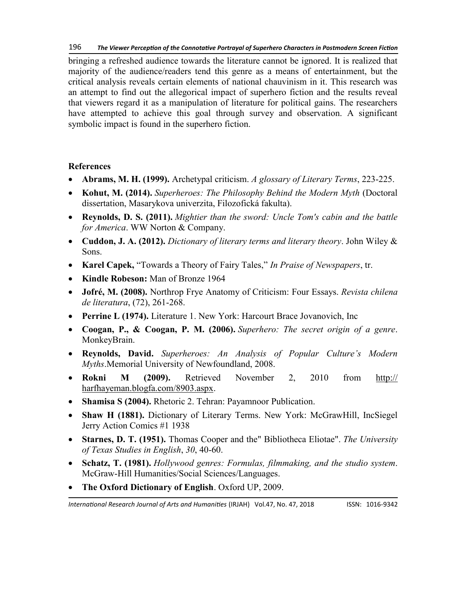bringing a refreshed audience towards the literature cannot be ignored. It is realized that majority of the audience/readers tend this genre as a means of entertainment, but the critical analysis reveals certain elements of national chauvinism in it. This research was an attempt to find out the allegorical impact of superhero fiction and the results reveal that viewers regard it as a manipulation of literature for political gains. The researchers have attempted to achieve this goal through survey and observation. A significant symbolic impact is found in the superhero fiction.

# **References**

- **Abrams, M. H. (1999).** Archetypal criticism. *A glossary of Literary Terms*, 223-225.
- **Kohut, M. (2014).** *Superheroes: The Philosophy Behind the Modern Myth* (Doctoral dissertation, Masarykova univerzita, Filozofická fakulta).
- **Reynolds, D. S. (2011).** *Mightier than the sword: Uncle Tom's cabin and the battle for America*. WW Norton & Company.
- **Cuddon, J. A. (2012).** *Dictionary of literary terms and literary theory*. John Wiley & Sons.
- Karel Capek, "Towards a Theory of Fairy Tales," In Praise of Newspapers, tr.
- **Kindle Robeson:** Man of Bronze 1964
- **Jofré, M. (2008).** Northrop Frye Anatomy of Criticism: Four Essays. *Revista chilena de literatura*, (72), 261-268.
- **Perrine L (1974).** Literature 1. New York: Harcourt Brace Jovanovich, Inc
- **Coogan, P., & Coogan, P. M. (2006).** *Superhero: The secret origin of a genre*. MonkeyBrain.
- **Reynolds, David.** *Superheroes: An Analysis of Popular Culture's Modern Myths*.Memorial University of Newfoundland, 2008.
- **Rokni M (2009).** Retrieved November 2, 2010 from [http://](http://harfhayeman.blogfa.com/8903.aspx) [harfhayeman.blogfa.com/8903.aspx.](http://harfhayeman.blogfa.com/8903.aspx)
- **Shamisa S (2004).** Rhetoric 2. Tehran: Payamnoor Publication.
- **Shaw H (1881).** Dictionary of Literary Terms. New York: McGrawHill, IncSiegel Jerry Action Comics #1 1938
- **Starnes, D. T. (1951).** Thomas Cooper and the" Bibliotheca Eliotae". *The University of Texas Studies in English*, *30*, 40-60.
- **Schatz, T. (1981).** *Hollywood genres: Formulas, filmmaking, and the studio system*. McGraw-Hill Humanities/Social Sciences/Languages.
- **The Oxford Dictionary of English**. Oxford UP, 2009.

*International Research Journal of Arts and Humanities* (IRJAH) Vol.47, No. 47, 2018 **ISSN: 1016-9342**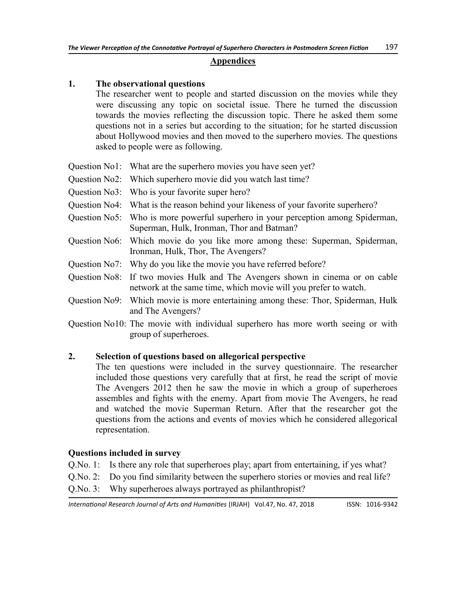#### **Appendices**

## **1. The observational questions**

The researcher went to people and started discussion on the movies while they were discussing any topic on societal issue. There he turned the discussion towards the movies reflecting the discussion topic. There he asked them some questions not in a series but according to the situation; for he started discussion about Hollywood movies and then moved to the superhero movies. The questions asked to people were as following.

- Question No1: What are the superhero movies you have seen yet?
- Question No2: Which superhero movie did you watch last time?
- Question No3: Who is your favorite super hero?
- Question No4: What is the reason behind your likeness of your favorite superhero?
- Question No5: Who is more powerful superhero in your perception among Spiderman, Superman, Hulk, Ironman, Thor and Batman?
- Question No6: Which movie do you like more among these: Superman, Spiderman, Ironman, Hulk, Thor, The Avengers?
- Question No7: Why do you like the movie you have referred before?
- Question No8: If two movies Hulk and The Avengers shown in cinema or on cable network at the same time, which movie will you prefer to watch.
- Question No9: Which movie is more entertaining among these: Thor, Spiderman, Hulk and The Avengers?
- Question No10: The movie with individual superhero has more worth seeing or with group of superheroes.

## **2. Selection of questions based on allegorical perspective**

The ten questions were included in the survey questionnaire. The researcher included those questions very carefully that at first, he read the script of movie The Avengers 2012 then he saw the movie in which a group of superheroes assembles and fights with the enemy. Apart from movie The Avengers, he read and watched the movie Superman Return. After that the researcher got the questions from the actions and events of movies which he considered allegorical representation.

#### **Questions included in survey**

- Q.No. 1: Is there any role that superheroes play; apart from entertaining, if yes what?
- Q.No. 2: Do you find similarity between the superhero stories or movies and real life?
- Q.No. 3: Why superheroes always portrayed as philanthropist?